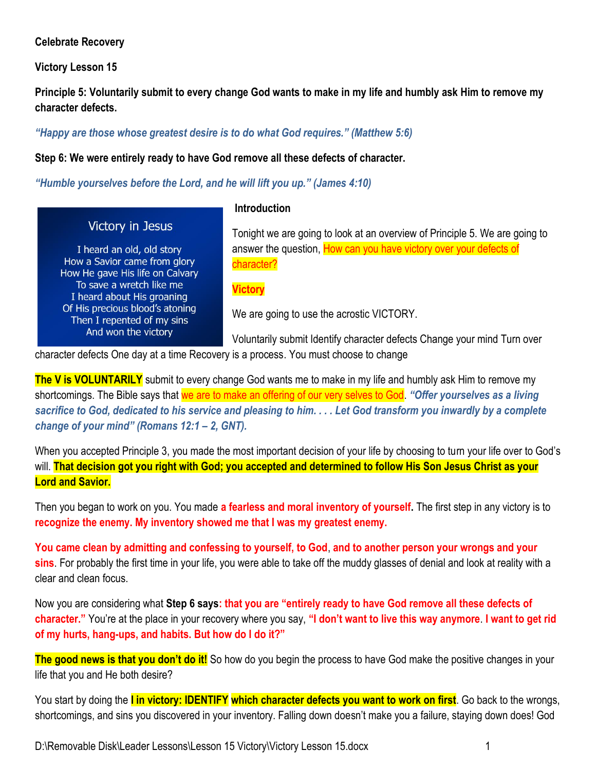## **Celebrate Recovery**

**Victory Lesson 15**

**Principle 5: Voluntarily submit to every change God wants to make in my life and humbly ask Him to remove my character defects.** 

*"Happy are those whose greatest desire is to do what God requires." (Matthew 5:6)* 

**Step 6: We were entirely ready to have God remove all these defects of character.** 

*"Humble yourselves before the Lord, and he will lift you up." (James 4:10)*

## **Victory in Jesus**

I heard an old, old story How a Savior came from glory How He gave His life on Calvary To save a wretch like me I heard about His groaning Of His precious blood's atoning Then I repented of my sins And won the victory

## **Introduction**

Tonight we are going to look at an overview of Principle 5. We are going to answer the question, How can you have victory over your defects of character?

## **Victory**

We are going to use the acrostic VICTORY.

Voluntarily submit Identify character defects Change your mind Turn over

character defects One day at a time Recovery is a process. You must choose to change

**The V is VOLUNTARILY** submit to every change God wants me to make in my life and humbly ask Him to remove my shortcomings. The Bible says that we are to make an offering of our very selves to God. *"Offer yourselves as a living*  sacrifice to God, dedicated to his service and pleasing to him. . . . Let God transform you inwardly by a complete *change of your mind" (Romans 12:1 – 2, GNT).* 

When you accepted Principle 3, you made the most important decision of your life by choosing to turn your life over to God's will. **That decision got you right with God; you accepted and determined to follow His Son Jesus Christ as your Lord and Savior.**

Then you began to work on you. You made **a fearless and moral inventory of yourself.** The first step in any victory is to **recognize the enemy. My inventory showed me that I was my greatest enemy.** 

**You came clean by admitting and confessing to yourself, to God**, **and to another person your wrongs and your sins**. For probably the first time in your life, you were able to take off the muddy glasses of denial and look at reality with a clear and clean focus.

Now you are considering what **Step 6 says: that you are "entirely ready to have God remove all these defects of character."** You're at the place in your recovery where you say, **"I don't want to live this way anymore**. **I want to get rid of my hurts, hang-ups, and habits. But how do I do it?"** 

**The good news is that you don't do it!** So how do you begin the process to have God make the positive changes in your life that you and He both desire?

You start by doing the **I in victory: IDENTIFY which character defects you want to work on first**. Go back to the wrongs, shortcomings, and sins you discovered in your inventory. Falling down doesn't make you a failure, staying down does! God

D:\Removable Disk\Leader Lessons\Lesson 15 Victory\Victory Lesson 15.docx 1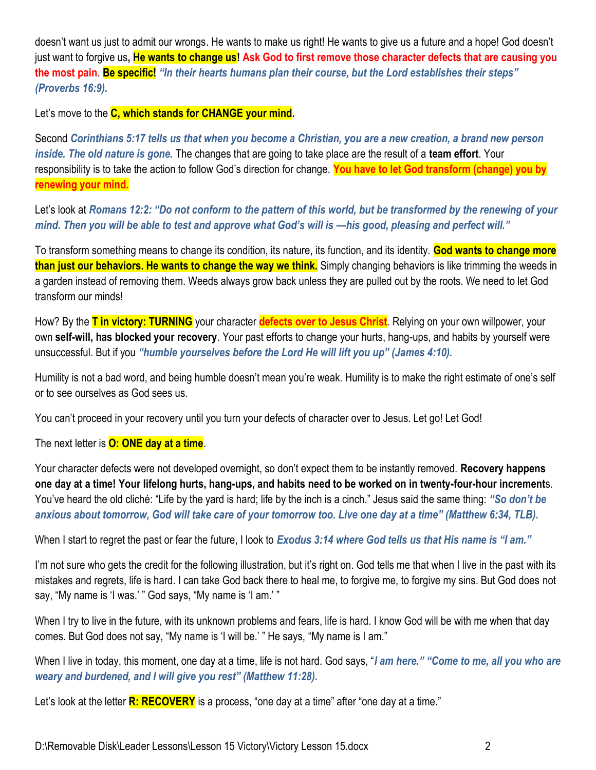doesn't want us just to admit our wrongs. He wants to make us right! He wants to give us a future and a hope! God doesn't just want to forgive us**, He wants to change us! Ask God to first remove those character defects that are causing you the most pain**. **Be specific!** *"In their hearts humans plan their course, but the Lord establishes their steps" (Proverbs 16:9).* 

Let's move to the **C, which stands for CHANGE your mind.**

Second *Corinthians 5:17 tells us that when you become a Christian, you are a new creation, a brand new person inside. The old nature is gone.* The changes that are going to take place are the result of a **team effort**. Your responsibility is to take the action to follow God's direction for change. **You have to let God transform (change) you by renewing your mind.**

Let's look at *Romans 12:2: "Do not conform to the pattern of this world, but be transformed by the renewing of your mind. Then you will be able to test and approve what God's will is —his good, pleasing and perfect will."* 

To transform something means to change its condition, its nature, its function, and its identity. **God wants to change more than just our behaviors. He wants to change the way we think.** Simply changing behaviors is like trimming the weeds in a garden instead of removing them. Weeds always grow back unless they are pulled out by the roots. We need to let God transform our minds!

How? By the **T in victory: TURNING** your character **defects over to Jesus Christ**. Relying on your own willpower, your own **self-will, has blocked your recovery**. Your past efforts to change your hurts, hang-ups, and habits by yourself were unsuccessful. But if you *"humble yourselves before the Lord He will lift you up" (James 4:10).*

Humility is not a bad word, and being humble doesn't mean you're weak. Humility is to make the right estimate of one's self or to see ourselves as God sees us.

You can't proceed in your recovery until you turn your defects of character over to Jesus. Let go! Let God!

The next letter is **O: ONE day at a time**.

Your character defects were not developed overnight, so don't expect them to be instantly removed. **Recovery happens one day at a time! Your lifelong hurts, hang-ups, and habits need to be worked on in twenty-four-hour increment**s. You've heard the old cliché: "Life by the yard is hard; life by the inch is a cinch." Jesus said the same thing: *"So don't be anxious about tomorrow, God will take care of your tomorrow too. Live one day at a time" (Matthew 6:34, TLB).* 

When I start to regret the past or fear the future, I look to *Exodus 3:14 where God tells us that His name is "I am."* 

I'm not sure who gets the credit for the following illustration, but it's right on. God tells me that when I live in the past with its mistakes and regrets, life is hard. I can take God back there to heal me, to forgive me, to forgive my sins. But God does not say, "My name is 'I was.' " God says, "My name is 'I am.' "

When I try to live in the future, with its unknown problems and fears, life is hard. I know God will be with me when that day comes. But God does not say, "My name is 'I will be.' " He says, "My name is I am."

When I live in today, this moment, one day at a time, life is not hard. God says, "*I am here." "Come to me, all you who are weary and burdened, and I will give you rest" (Matthew 11:28).* 

Let's look at the letter **R: RECOVERY** is a process, "one day at a time" after "one day at a time."

D:\Removable Disk\Leader Lessons\Lesson 15 Victory\Victory Lesson 15.docx 2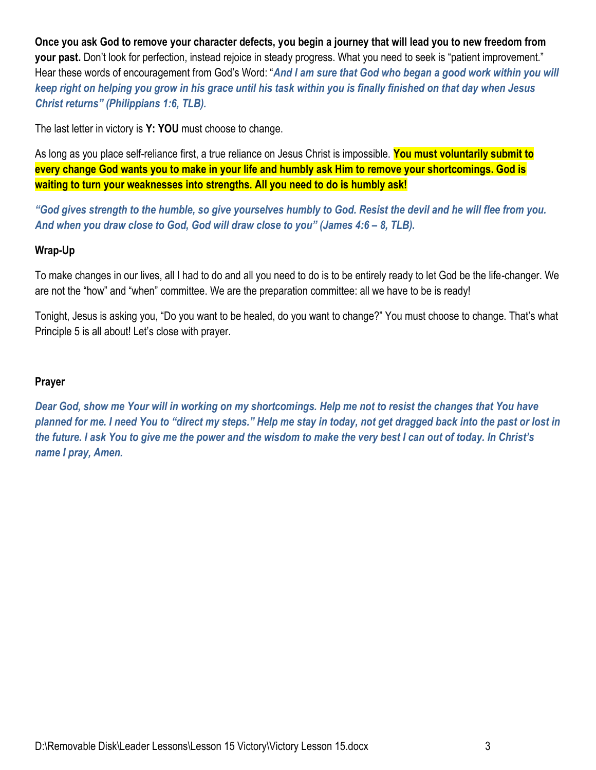**Once you ask God to remove your character defects, you begin a journey that will lead you to new freedom from your past.** Don't look for perfection, instead rejoice in steady progress. What you need to seek is "patient improvement." Hear these words of encouragement from God's Word: "*And I am sure that God who began a good work within you will keep right on helping you grow in his grace until his task within you is finally finished on that day when Jesus Christ returns" (Philippians 1:6, TLB).* 

The last letter in victory is **Y: YOU** must choose to change.

As long as you place self-reliance first, a true reliance on Jesus Christ is impossible. **You must voluntarily submit to every change God wants you to make in your life and humbly ask Him to remove your shortcomings. God is waiting to turn your weaknesses into strengths. All you need to do is humbly ask!**

*"God gives strength to the humble, so give yourselves humbly to God. Resist the devil and he will flee from you. And when you draw close to God, God will draw close to you" (James 4:6 – 8, TLB).* 

## **Wrap-Up**

To make changes in our lives, all I had to do and all you need to do is to be entirely ready to let God be the life-changer. We are not the "how" and "when" committee. We are the preparation committee: all we have to be is ready!

Tonight, Jesus is asking you, "Do you want to be healed, do you want to change?" You must choose to change. That's what Principle 5 is all about! Let's close with prayer.

### **Prayer**

*Dear God, show me Your will in working on my shortcomings. Help me not to resist the changes that You have planned for me. I need You to "direct my steps." Help me stay in today, not get dragged back into the past or lost in the future. I ask You to give me the power and the wisdom to make the very best I can out of today. In Christ's name I pray, Amen.*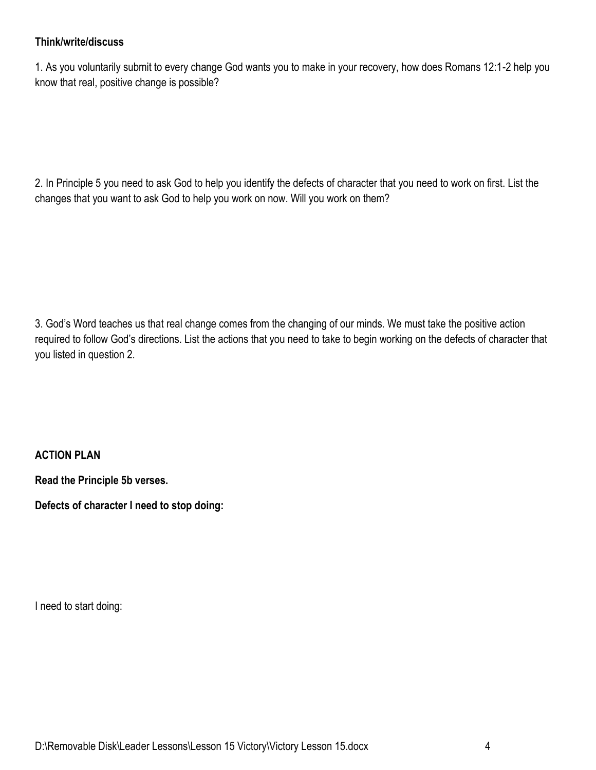## **Think/write/discuss**

1. As you voluntarily submit to every change God wants you to make in your recovery, how does Romans 12:1-2 help you know that real, positive change is possible?

2. In Principle 5 you need to ask God to help you identify the defects of character that you need to work on first. List the changes that you want to ask God to help you work on now. Will you work on them?

3. God's Word teaches us that real change comes from the changing of our minds. We must take the positive action required to follow God's directions. List the actions that you need to take to begin working on the defects of character that you listed in question 2.

# **ACTION PLAN**

**Read the Principle 5b verses.** 

**Defects of character I need to stop doing:**

I need to start doing: